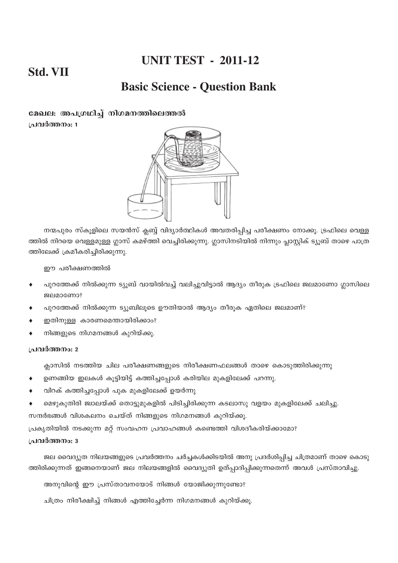# **UNIT TEST - 2011-12**

# **Std. VII**

# **Basic Science - Question Bank**

മേഖല: അപഗ്രഥിച്ച് നിഗമനത്തിലെത്തൽ പ്രവർത്തനം: 1



നന്മപുരം സ്കൂളിലെ സയൻസ് ക്ലബ്ബ് വിദ്യാർത്ഥികൾ അവതരിപ്പിച്ച പരീക്ഷണം നോക്കൂ. ട്രഫിലെ വെള്ള ത്തിൽ നിറയെ വെള്ളമുള്ള ഗ്ലാസ് കമഴ്ത്തി വെച്ചിരിക്കുന്നു. ഗ്ലാസിനടിയിൽ നിന്നും പ്ലാസ്റ്റിക് ട്യൂബ് താഴെ പാത്ര ത്തിലേക്ക് ക്രമീകരിച്ചിരിക്കുന്നു.

ഈ പരീക്ഷണത്തിൽ

- പുറത്തേക്ക് നിൽക്കുന്ന ട്യൂബ് വായിൽവച്ച് വലിച്ചുവിട്ടാൽ ആദ്യം തീരുക ട്രഫിലെ ജലമാണോ ഗ്ലാസിലെ ജലമാണോ?
- പുറത്തേക്ക് നിൽക്കുന്ന ട്യൂബിലൂടെ ഊതിയാൽ ആദ്യം തീരൂക ഏതിലെ ജലമാണ്?
- ഇതിനുള്ള കാരണമെന്തായിരിക്കാം?
- നിങ്ങളുടെ നിഗമനങ്ങൾ കുറിയ്ക്കു.
- 

#### പ്രവർത്തനം: 2

പ്രവർത്തനം: 3

ക്ലാസിൽ നടത്തിയ ചില പരീക്ഷണങ്ങളുടെ നിരീക്ഷണഫലങ്ങൾ താഴെ കൊടുത്തിരിക്കുന്നു

- ഉണങ്ങിയ ഇലകൾ കൂട്ടിയിട്ട് കത്തിച്ചപ്പോൾ കരിയില മുകളിലേക്ക് പറന്നു.
- 
- 
- വിറക് കത്തിച്ചപ്പോൾ പുക മുകളിലേക്ക് ഉയർന്നു
- 
- 
- 

പ്രകൃതിയിൽ നടക്കുന്ന മറ്റ് സംവഹന പ്രവാഹങ്ങൾ കണ്ടെത്തി വിശദീകരിയ്ക്കാമോ?

- 
- 
- 
- 
- 
- 
- 
- 
- 
- 
- 
- 
- 
- 
- 
- 
- 
- 
- 
- 
- 
- 
- മെഴുകുതിരി ജ്വാലയ്ക്ക് തൊട്ടുമുകളിൽ പിടിച്ചിരിക്കുന്ന കടലാസു വളയം മുകളിലേക്ക് ചലിച്ചു.
- 
- 
- 
- 
- 

അനുവിന്റെ ഈ പ്രസ്താവനയോട് നിങ്ങൾ യോജിക്കുന്നുണ്ടോ?

ചിത്രം നിരീക്ഷിച്ച് നിങ്ങൾ എത്തിച്ചേർന്ന നിഗമനങ്ങൾ കുറിയ്ക്കൂ.

ജല വൈദ്യുത നിലയങ്ങളുടെ പ്രവർത്തനം ചർച്ചകൾക്കിടയിൽ അനു പ്രദർശിപ്പിച്ച ചിത്രമാണ് താഴെ കൊടു

ത്തിരിക്കുന്നത് ഇങ്ങനെയാണ് ജല നിലയങ്ങളിൽ വൈദ്യുതി ഉത്പ്പാദിപ്പിക്കുന്നതെന്ന് അവൾ പ്രസ്താവിച്ചു.

- സന്ദർഭങ്ങൾ വിശകലനം ചെയ്ത് നിങ്ങളുടെ നിഗമനങ്ങൾ കുറിയ്ക്കൂ.
- 
- 
- 
- 
- 
- 
- 
- 
- 
- 
- 
- 
-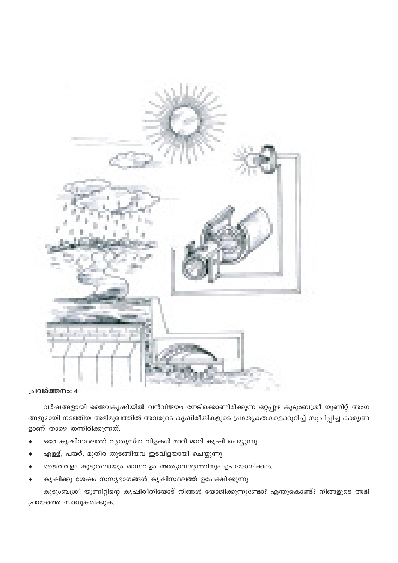

#### പ്രവർത്തനം: 4

വർഷങ്ങളായി ജൈവകൃഷിയിൽ വൻവിജയം നേടിക്കൊണ്ടിരിക്കുന്ന ഒറ്റപ്പുഴ കുടുംബശ്രീ യൂണിറ്റ് അംഗ ങ്ങളുമായി നടത്തിയ അഭിമുഖത്തിൽ അവരുടെ കൃഷിരീതികളുടെ പ്രത്യേകതകളെക്കുറിച്ച് സൂചിപ്പിച്ച കാര്യങ്ങ ളാണ് താഴെ തന്നിരിക്കുന്നത്.

- ഒരേ കൃഷിസ്ഥലത്ത് വ്യത്യസ്ത വിളകൾ മാറി മാറി കൃഷി ചെയ്യുന്നു.  $\blacktriangle$
- എള്ള്, പയറ്, മുതിര തുടങ്ങിയവ ഇടവിളയായി ചെയ്യുന്നു.
- ജൈവവളം കൂടുതലായും രാസവളം അത്യാവശ്യത്തിനും ഉപയോഗിക്കാം.
- കൃഷിക്കു ശേഷം സസ്യഭാഗങ്ങൾ കൃഷിസ്ഥലത്ത് ഉപേക്ഷിക്കുന്നു

കുടുംബശ്രീ യൂണിറ്റിന്റെ കൃഷിരീതിയോട് നിങ്ങൾ യോജിക്കുന്നുണ്ടോ? എന്തുകൊണ്ട്? നിങ്ങളുടെ അഭി പ്രായത്തെ സാധൂകരിക്കുക.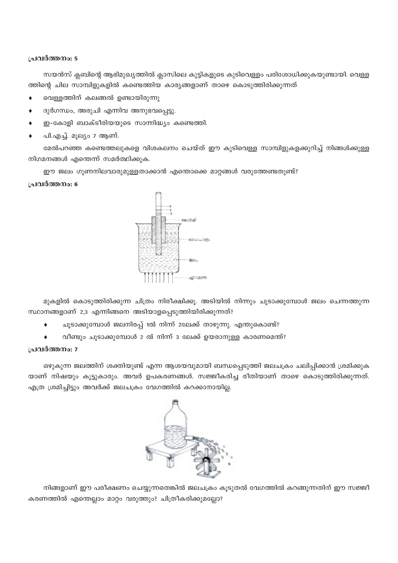#### പ്രവർത്തനം: 5

സയൻസ് ക്ലബിന്റെ ആഭിമുഖ്യത്തിൽ ക്ലാസിലെ കുട്ടികളുടെ കുടിവെള്ളം പരിശോധിക്കുകയുണ്ടായി. വെള്ള ത്തിന്റെ ചില സാമ്പിളുകളിൽ കണ്ടെത്തിയ കാര്യങ്ങളാണ് താഴെ കൊടുത്തിരിക്കുന്നത്

- വെള്ളത്തിന് കലങ്ങൽ ഉണ്ടായിരുന്നു  $\bullet$
- ദുർഗന്ധം, അരുചി എന്നിവ അനുഭവപ്പെട്ടു.  $\bullet$
- ഇ-കോളി ബാക്ടീരിയയുടെ സാന്നിദ്ധ്യം കണ്ടെത്തി.  $\bullet$
- പി.എച്ച്. മുല്യം 7 ആണ്.

മേൽപറഞ്ഞ കണ്ടെത്തലുകളെ വിശകലനം ചെയ്ത് ഈ കുടിവെള്ള സാമ്പിളുകളക്കുറിച്ച് നിങ്ങൾക്കുള്ള നിഗമനങ്ങൾ എന്തെന്ന് സമർത്ഥിക്കുക.

ഈ ജലം ഗുണനിലവാരുമുള്ളതാക്കാൻ എന്തൊക്കെ മാറ്റങ്ങൾ വരുത്തേണ്ടതുണ്ട്?

#### പ്രവർത്തനം: 6



മുകളിൽ കൊടുത്തിരിക്കുന്ന ചിത്രം നിരീക്ഷിക്കൂ. അടിയിൽ നിന്നും ചൂടാക്കുമ്പോൾ ജലം ചെന്നത്തുന്ന സ്ഥാനങ്ങളാണ് 2,3 എന്നിങ്ങനെ അടിയാളപ്പെടുത്തിയിരിക്കുന്നത്?

- ചൂടാക്കുമ്പോൾ ജലനിരപ്പ് 1ൽ നിന്ന് 2ലേക്ക് താഴുന്നു. എന്തുകൊണ്ട്?
- വീണ്ടും ചൂടാക്കുമ്പോൾ 2 ൽ നിന്ന് 3 ലേക്ക് ഉയരാനുള്ള കാരണമെന്ത്?  $\blacklozenge$

#### പ്രവർത്തനം: 7

ഒഴുകുന്ന ജലത്തിന് ശക്തിയുണ്ട് എന്ന ആശയവുമായി ബന്ധപ്പെടുത്തി ജലചക്രം ചലിപ്പിക്കാൻ ശ്രമിക്കുക യാണ് നിഷയും കൂട്ടുകാരും. അവർ ഉപകരണങ്ങൾ. സജ്ജീകരിച്ച രീതിയാണ് താഴെ കൊടുത്തിരിക്കുന്നത്. എത്ര ശ്രമിച്ചിട്ടും അവർക്ക് ജലചക്രം വേഗത്തിൽ കറക്കാനായില്ല.



നിങ്ങളാണ് ഈ പരീക്ഷണം ചെയ്യുന്നതെങ്കിൽ ജലചക്രം കൂടുതൽ വേഗത്തിൽ കറങ്ങുന്നതിന് ഈ സജ്ജീ കരണത്തിൽ എന്തെല്ലാം മാറ്റം വരുത്തും? ചിത്രീകരിക്കുമല്ലോ?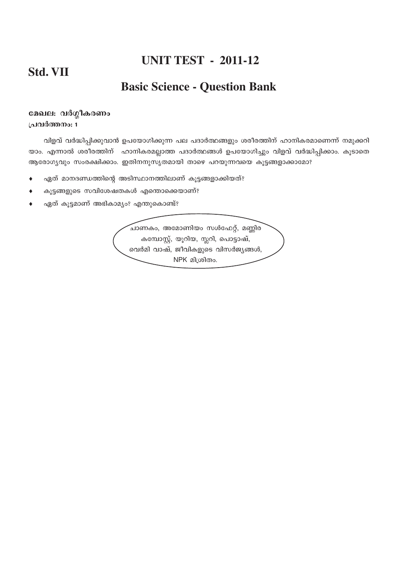# **UNIT TEST - 2011-12**

# **Basic Science - Question Bank**

#### മേഖല: വർഗ്ഗീകരണം പ്രവർത്തനം: 1

വിളവ് വർദ്ധിപ്പിക്കുവാൻ ഉപയോഗിക്കുന്ന പല പദാർത്ഥങ്ങളും ശരീരത്തിന് ഹാനികരമാണെന്ന് നമുക്കറി യാം. എന്നാൽ ശരീരത്തിന് ഹാനികരമല്ലാത്ത പദാർത്ഥങ്ങൾ ഉപയോഗിച്ചും വിളവ് വർദ്ധിപ്പിക്കാം. കൂടാതെ ആരോഗ്യവും സംരക്ഷിക്കാം. ഇതിനനുസൃതമായി താഴെ പറയുന്നവയെ കൂട്ടങ്ങളാക്കാമോ?

- ഏത് മാനദണ്ഡത്തിന്റെ അടിസ്ഥാനത്തിലാണ് കൂട്ടങ്ങളാക്കിയത്?  $\blacktriangle$
- കൂട്ടങ്ങളുടെ സവിശേഷതകൾ എന്തൊക്കെയാണ്?  $\blacktriangle$
- ഏത് കൂട്ടമാണ് അഭികാമ്യം? എന്തുകൊണ്ട്?

<u>്</u>ചാണകം, അമോണിയം സൾഫേറ്റ്, മണ്ണിര കമ്പോസ്റ്റ്, യൂറിയ, സ്ലറി, പൊട്ടാഷ്, വെർമി വാഷ്, ജീവികളുടെ വിസർജ്യങ്ങൾ, NPK മിശ്രിതം.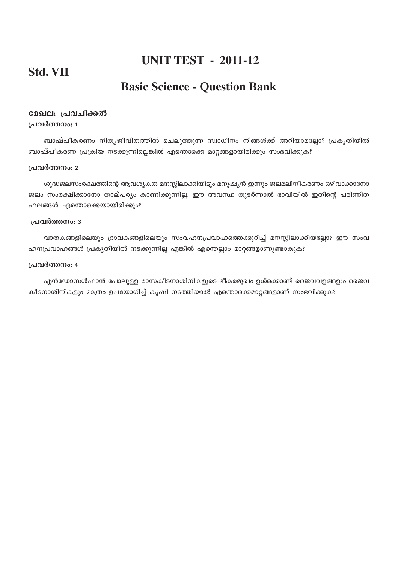### **UNIT TEST - 2011-12**

# **Basic Science - Question Bank**

#### മേഖല: പ്രവചിക്കൽ **{പവർത്തനം: 1**

ബാഷ്പീകരണം നിത്യജീവിതത്തിൽ ചെലുത്തുന്ന സ്വാധീനം നിങ്ങൾക്ക് അറിയാമല്ലോ? പ്രകൃതിയിൽ ബാഷ്പീകരണ പ്രക്രിയ നടക്കുന്നില്ലെങ്കിൽ എന്തൊക്കെ മാറ്റങ്ങളായിരിക്കും സംഭവിക്കുക?

#### **പ്രവർത്തനം**: 2

ശുദ്ധജലസംരക്ഷത്തിന്റെ ആവശ്യകത മനസ്സിലാക്കിയിട്ടും മനുഷ്യൻ ഇന്നും ജലമലിനീകരണം ഒഴിവാക്കാനോ ജലം സംരക്ഷിക്കാനോ താല്പര്യം കാണിക്കുന്നില്ല. ഈ അവസ്ഥ തുടർന്നാൽ ഭാവിയിൽ ഇതിന്റെ പരിണിത ഫലങ്ങൾ എന്തൊക്കെയായിരിക്കും?

#### **പ്രവർത്തനം**: 3

വാതകങ്ങളിലെയും ദ്രാവകങ്ങളിലെയും സംവഹനപ്രവാഹത്തെക്കുറിച്ച് മനസ്സിലാക്കിയല്ലോ? ഈ സംവ ഹനപ്രവാഹങ്ങൾ പ്രകൃതിയിൽ നടക്കുന്നില്ല എങ്കിൽ എന്തെല്ലാം മാറ്റങ്ങളാണുണ്ടാകുക?

#### **പ്രവർത്തനം**: 4

എൻഡോസൾഫാൻ പോലുള്ള രാസകീടനാശിനികളുടെ ഭീകരമുഖം ഉൾക്കൊണ്ട് ജൈവവളങ്ങളും ജൈവ കീടനാശിനികളും മാത്രം ഉപയോഗിച്ച് കൃഷി നടത്തിയാൽ എന്തൊക്കെമാറ്റങ്ങളാണ് സംഭവിക്കുക?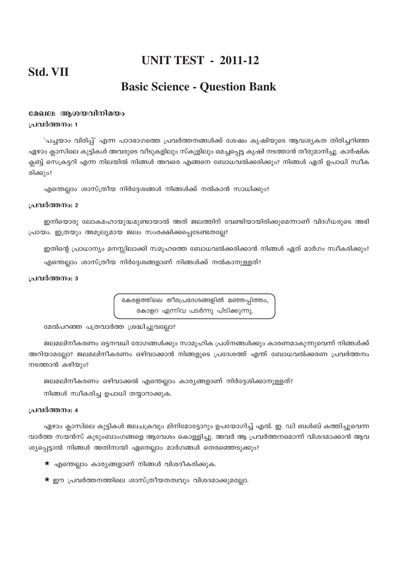## **UNIT TEST - 2011-12**

# **Basic Science - Question Bank**

#### മേഖല: ആശയവിനിമയം ം ഥരിത്തനം: 1

'പച്ചയാം വിരിപ്പ്' എന്ന പാഠഭാഗത്തെ പ്രവർത്തനങ്ങൾക്ക് ശേഷം കൃഷിയുടെ ആവശ്യകത തിരിച്ചറിഞ്ഞ ഏഴാം ക്ലാസിലെ കുട്ടികൾ അവരുടെ വീടുകളിലും സ്കൂളിലും മെച്ചപ്പെട്ട കൃഷി നടത്താൻ തീരുമാനിച്ചു. കാർഷിക ക്ലബ്ബ് സെക്രട്ടറി എന്ന നിലയിൽ നിങ്ങൾ അവരെ എങ്ങനെ ബോധവൽക്കരിക്കും? നിങ്ങൾ ഏത് ഉപാധി സ്വീക രിക്കും?

എന്തെല്ലാം ശാസ്ത്രീയ നിർദ്ദേശങ്ങൾ നിങ്ങൾക്ക് നൽകാൻ സാധിക്കും?

#### പ്രവർത്തനം: 2

ഇനിയൊരു ലോകമഹായുദ്ധമുണ്ടായാൽ അത് ജലത്തിന് വേണ്ടിയായിരിക്കുമെന്നാണ് വിദഗ്ധരുടെ അഭി പ്രായം. ഇത്രയും അമൂല്യമായ ജലം സംരക്ഷിക്കപ്പെടേണ്ടതല്ലേ?

ഇതിന്റെ പ്രാധാന്യം മനസ്സിലാക്കി സമൂഹത്തെ ബോധവൽക്കരിക്കാൻ നിങ്ങൾ ഏത് മാർഗം സ്വീകരിക്കും? എന്തെല്ലാം ശാസ്ത്രീയ നിർദ്ദേശങ്ങളാണ് നിങ്ങൾക്ക് നൽകാനുള്ളത്?

#### പ്രവർത്തനം: 3

കേരളത്തിലെ തീരപ്രദേശങ്ങളിൽ മഞ്ഞപ്പിത്തം, കോളറ എന്നിവ പടർന്നു പിടിക്കുന്നു.

മേൽപറഞ്ഞ പത്രവാർത്ത ശ്രദ്ധിച്ചുവല്ലോ?

ജലമലിനീകരണം ഒട്ടനവധി രോഗങ്ങൾക്കും സാമൂഹിക പ്രശ്നങ്ങൾക്കും കാരണമാകുന്നുവെന്ന് നിങ്ങൾക്ക് അറിയാമല്ലോ? ജലമലിനീകരണം ഒഴിവാക്കാൻ നിങ്ങളുടെ പ്രദേശത്ത് എന്ത് ബോധവൽക്കരണ പ്രവർത്തനം നടത്താൻ കഴിയും?

ജലമലിനീകരണം ഒഴിവാക്കൽ എന്തെല്ലാം കാര്യങ്ങളാണ് നിർദ്ദേശിക്കാനുള്ളത്?

നിങ്ങൾ സ്വീകരിച്ച ഉപാധി തയ്യാറാക്കുക.

#### പ്രവർത്തനം: 4

ഏഴാം ക്ലാസിലെ കുട്ടികൾ ജലചക്രവും മിനിമോട്ടോറും ഉപയോഗിച്ച് എൽ. ഇ. ഡി ബൾബ് കത്തിച്ചുവെന്ന വാർത്ത സയൻസ് കുടുംബാംഗങ്ങളെ ആവേശം കൊള്ളിച്ചു. അവർ ആ പ്രവർത്തനമൊന്ന് വിശദമാക്കാൻ ആവ ശ്യപ്പെട്ടാൽ നിങ്ങൾ അതിനായി ഏതെല്ലാം മാർഗങ്ങൾ തെരഞ്ഞെടുക്കും?

- $\star$  എന്തെല്ലാം കാര്യങ്ങളാണ് നിങ്ങൾ വിശദീകരിക്കുക.
- $\star$  ഈ പ്രവർത്തനത്തിലെ ശാസ്ത്രീയതത്വവും വിശദമാക്കുമല്ലോ.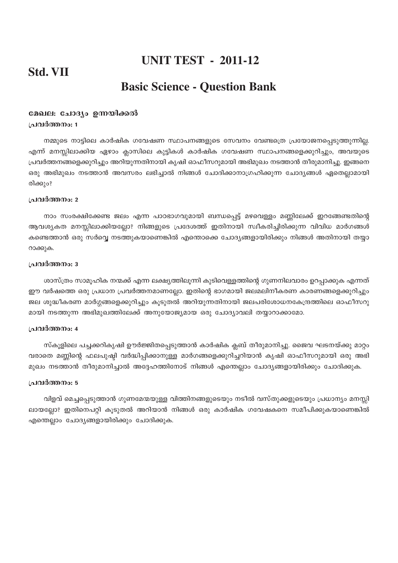# **UNIT TEST - 2011-12**

## **Basic Science - Question Bank**

#### മേഖല: ചോദ്യം ഉന്നയിക്കൽ പ്രവർത്തനം: 1

നമ്മുടെ നാട്ടിലെ കാർഷിക ഗവേഷണ സ്ഥാപനങ്ങളുടെ സേവനം വേണ്ടത്രെ പ്രയോജനപ്പെടുത്തുന്നില്ല. എന്ന് മനസ്സിലാക്കിയ ഏഴാം ക്ലാസിലെ കുട്ടികൾ കാർഷിക ഗവേഷണ സ്ഥാപനങ്ങളെക്കുറിച്ചും, അവയുടെ പ്രവർത്തനങ്ങളെക്കുറിച്ചും അറിയുന്നതിനായി കൃഷി ഓഫീസറുമായി അഭിമുഖം നടത്താൻ തീരുമാനിച്ചു. ഇങ്ങനെ ഒരു അഭിമുഖം നടത്താൻ അവസരം ലഭിച്ചാൽ നിങ്ങൾ ചോദിക്കാനാഗ്രഹിക്കുന്ന ചോദ്യങ്ങൾ ഏതെല്ലാമായി രിക്കും?

#### പ്രവർത്തനം: 2

നാം സംരക്ഷിക്കേണ്ട ജലം എന്ന പാഠഭാഗവുമായി ബന്ധപ്പെട്ട് മഴവെള്ളം മണ്ണിലേക്ക് ഇറങ്ങേണ്ടതിന്റെ ആവശ്യകത മനസ്സിലാക്കിയല്ലോ? നിങ്ങളുടെ പ്രദേശത്ത് ഇതിനായി സ്വീകരിച്ചിരിക്കുന്ന വിവിധ മാർഗങ്ങൾ കണ്ടെത്താൻ ഒരു സർവ്വെ നടത്തുകയാണെങ്കിൽ എന്തൊക്കെ ചോദ്യങ്ങളായിരിക്കും നിങ്ങൾ അതിനായി തയ്യാ റാക്കുക.

#### പ്രവർത്തനം: 3

ശാസ്ത്രം സാമൂഹിക നന്മക്ക് എന്ന ലക്ഷ്യത്തിലൂന്നി കുടിവെള്ളത്തിന്റെ ഗുണനിലവാരം ഉറപ്പാക്കുക എന്നത് . ഈ വർഷത്തെ ഒരു പ്രധാന പ്രവർത്തനമാണല്ലോ. ഇതിന്റെ ഭാഗമായി ജലമലിനീകരണ കാരണങ്ങളെക്കുറിച്ചും ജല ശുദ്ധീകരണ മാർഗ്ഗങ്ങളെക്കുറിച്ചും കൂടുതൽ അറിയുന്നതിനായി ജലപരിശോധനകേന്ദ്രത്തിലെ ഓഫീസറു മായി നടത്തുന്ന അഭിമുഖത്തിലേക്ക് അനുയോജ്യമായ ഒരു ചോദ്യാവലി തയ്യാറാക്കാമോ.

#### പ്രവർത്തനം: 4

സ്കൂളിലെ പച്ചക്കറികൃഷി ഊർജ്ജിതപ്പെടുത്താൻ കാർഷിക ക്ലബ് തീരുമാനിച്ചു. ജൈവ ഘടനയ്ക്കു മാറ്റം വരാതെ മണ്ണിന്റെ ഫലപുഷ്ഠി വർദ്ധിപ്പിക്കാനുള്ള മാർഗങ്ങളെക്കുറിച്ചറിയാൻ കൃഷി ഓഫീസറുമായി ഒരു അഭി മുഖം നടത്താൻ തീരുമാനിച്ചാൽ അദ്ദേഹത്തിനോട് നിങ്ങൾ എന്തെല്ലാം ചോദ്യങ്ങളായിരിക്കും ചോദിക്കുക.

#### പ്രവർത്തനം: 5

വിളവ് മെച്ചപെടുത്താൻ ഗുണമേന്മയുള്ള വിത്തിനങ്ങളുടെയും നടീൽ വസ്തുക്കളുടെയും പ്രധാന്യം മനസ്സി ലായല്ലോ? ഇതിനെപറ്റി കൂടുതൽ അറിയാൻ നിങ്ങൾ ഒരു കാർഷിക ഗവേഷകനെ സമീപിക്കുകയാണെങ്കിൽ എന്തെല്ലാം ചോദ്യങ്ങളായിരിക്കും ചോദിക്കുക.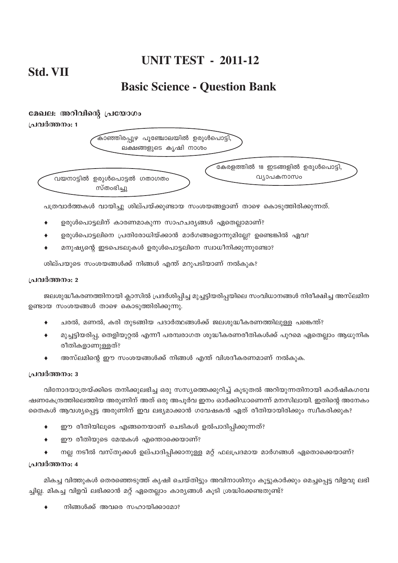# **UNIT TEST - 2011-12**

# **Basic Science - Question Bank**

#### മേഖല: അറിവിന്റെ പ്രയോഗം

**(പവർത്തനം: 1** 

കാഞ്ഞിരപ്പുഴ പൂഞ്ചോലയിൽ ഉരുൾപൊട്ടി. ലക്ഷങ്ങളുടെ കൃഷി നാശം



ഭകരളത്തിൽ 18 ഇടങ്ങളിൽ ഉരുൾപൊട്ടി.

പത്രവാർത്തകൾ വായിച്ചു ശില്പയ്ക്കുണ്ടായ സംശയങ്ങളാണ് താഴെ കൊടുത്തിരിക്കുന്നത്.

- ഉരുൾപൊട്ടലിന് കാരണമാകുന്ന സാഹചര്യങ്ങൾ ഏതെല്ലാമാണ്?
- ഉരുൾപൊട്ടലിനെ പ്രതിരോധിയ്ക്കാൻ മാർഗങ്ങളൊന്നുമില്ലേ? ഉണ്ടെങ്കിൽ ഏവ?
- മനുഷ്യന്റെ ഇടപെടലുകൾ ഉരുൾപൊട്ടലിനെ സ്വാധീനിക്കുന്നുണ്ടോ?

ശില്പയുടെ സംശയങ്ങൾക്ക് നിങ്ങൾ എന്ത് മറുപടിയാണ് നൽകുക?

#### **പ്രവർത്തനം**: 2

ജലശുദ്ധീകരണത്തിനായി ക്ലാസിൽ പ്രദർശിപ്പിച്ച മുച്ചട്ടിയരിപ്പയിലെ സംവിധാനങ്ങൾ നിരീക്ഷിച്ച അസ്ലമിന ഉണ്ടായ സംശയങ്ങൾ താഴെ കൊടുത്തിരിക്കുന്നു.

- ചരൽ, മണൽ, കരി തുടങ്ങിയ പദാർത്ഥങ്ങൾക്ക് ജലശുദ്ധീകരണത്തിലുള്ള പങ്കെന്ത്?
- മുച്ചട്ടിയരിപ്പ, തെളിയൂറ്റൽ എന്നീ പരമ്പരാഗത ശുദ്ധീകരണരീതികൾക്ക് പുറമെ ഏതെല്ലാം ആധുനിക രീതികളാണുള്ളത്?
- അസ്ലമിന്റെ ഈ സംശയങ്ങൾക്ക് നിങ്ങൾ എന്ത് വിശദീകരണമാണ് നൽകുക.

#### **പ്രവർത്തനം: 3**

വിനോദയാത്രയ്ക്കിടെ തനിക്കുലഭിച്ച ഒരു സസ്യത്തെക്കുറിച്ച് കൂടുതൽ അറിയുന്നതിനായി കാർഷികഗവേ ഷണകേന്ദ്രത്തിലെത്തിയ അരുണിന് അത് ഒരു അപൂർവ ഇനം ഓർക്കിഡാണെന്ന് മനസിലായി. ഇതിന്റെ അനേകം തൈകൾ ആവശ്യപ്പെട്ട അരുണിന് ഇവ ലഭ്യമാക്കാൻ ഗവേഷകൻ ഏത് രീതിയായിരിക്കും സ്വീകരിക്കുക?

- ♦ ഈ രീതിയിലൂടെ എങ്ങനെയാണ് ചെടികൾ ഉൽപാദിപ്പിക്കുന്നത്?
- ഈ രീതിയുടെ മേന്മകൾ എന്തൊക്കെയാണ്?
- നല്ല നടീൽ വസ്തുക്കൾ ഉല്പാദിപ്പിക്കാനുള്ള മറ്റ് ഫലപ്രദമായ മാർഗങ്ങൾ ഏതൊക്കെയാണ്?

#### **പ്രവർത്തനം:** 4

മികച്ച വിത്തുകൾ തെരഞ്ഞെടുത്ത് കൃഷി ചെയ്തിട്ടും അവിനാശിനും കൂട്ടുകാർക്കും മെച്ചപ്പെട്ട വിളവു ലഭി ച്ചില്ല. മികച്ച വിളവ് ലഭിക്കാൻ മറ്റ് ഏതെല്ലാം കാര്യങ്ങൾ കൂടി ശ്രദ്ധിക്കേണ്ടതുണ്ട്?

നിങ്ങൾക്ക് അവരെ സഹായിക്കാമോ?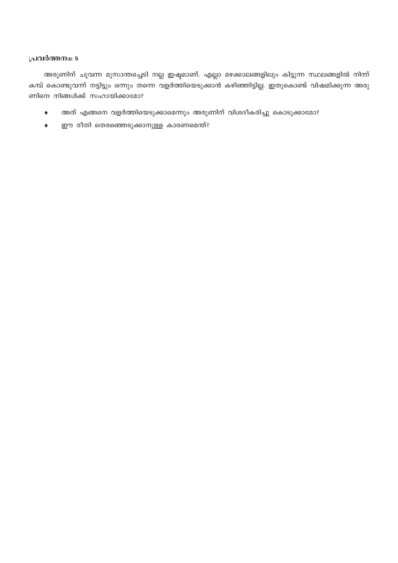#### പ്രവർത്തനം: 5

അരുണിന് ചുവന്ന മുസാന്തച്ചെടി നല്ല ഇഷ്ടമാണ്. എല്ലാ മഴക്കാലങ്ങളിലും കിട്ടുന്ന സ്ഥലങ്ങളിൽ നിന്ന് കമ്പ് കൊണ്ടുവന്ന് നട്ടിട്ടും ഒന്നും തന്നെ വളർത്തിയെടുക്കാൻ കഴിഞ്ഞിട്ടില്ല. ഇതുകൊണ്ട് വിഷമിക്കുന്ന അരു ണിനെ നിങ്ങൾക്ക് സഹായിക്കാമോ?

- അത് എങ്ങനെ വളർത്തിയെടുക്കാമെന്നും അരുണിന് വിശദീകരിച്ചു കൊടുക്കാമോ?  $\ddot{\bullet}$
- ഈ രീതി തെരഞ്ഞെടുക്കാനുള്ള കാരണമെന്ത്?  $\bullet$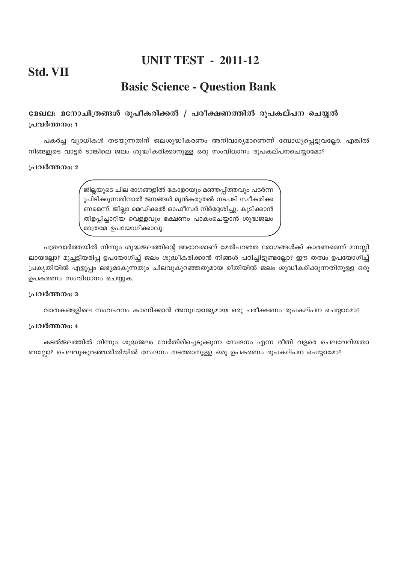# **UNIT TEST - 2011-12**

# **Std. VII**

# **Basic Science - Question Bank**

#### ്രമഖല: മനോചിത്രങ്ങൾ രൂപീകരിക്കൽ / പരീക്ഷണത്തിൽ രൂപകല്പന ചെയ്യൽ **{പവർത്തനം: 1**

പകർച്ച വ്യാധികൾ തടയുന്നതിന് ജലശുദ്ധീകരണം അനിവാര്യമാണെന്ന് ബോധ്യപ്പെട്ടുവല്ലോ. എങ്കിൽ നിങ്ങളുടെ വാട്ടർ ടാങ്കിലെ ജലം ശുദ്ധീകരിക്കാനുള്ള ഒരു സംവിധാനം രുപകല്പനചെയ്യാമോ?

#### **{പവർത്തനം: 2**

ജില്ലയുടെ ചില ഭാഗങ്ങളിൽ കോളറയും മഞ്ഞപ്പിത്തവും പടർന്ന ുപിടിക്കുന്നതിനാൽ ജനങ്ങൾ മുൻകരുതൽ നടപടി സ്വീകരിക്ക ണമെന്ന്. ജില്ലാ മെഡിക്കൽ ഓഫീസർ നിർദ്ദേശിച്ചു. കുടിക്കാൻ തിളപ്പിച്ചാറിയ വെള്ളവും ഭക്ഷണം പാകംചെയ്യാൻ ശുദ്ധജലം <mark>മാത്രമേ ഉപയോഗിക്കാവൂ</mark>.

പത്രവാർത്തയിൽ നിന്നും ശുദ്ധജലത്തിന്റെ അഭാവമാണ് മേൽപറഞ്ഞ രോഗങ്ങൾക്ക് കാരണമെന്ന് മനസ്സി ലായല്ലോ? മുച്ചട്ടിയരിപ്പ ഉപയോഗിച്ച് ജലം ശുദ്ധീകരിക്കാൻ നിങ്ങൾ പഠിച്ചിട്ടുണ്ടല്ലോ? ഈ തത്വം ഉപയോഗിച്ച്  $[$ പകൃതിയിൽ എളുപ്പം ലഭ്യമാകുന്നതും ചിലവുകുറഞ്ഞതുമായ രീതിയിൽ ജലം ശുദ്ധീകരിക്കുന്നതിനുള്ള ഒരു ഉപകരണം സംവിധാനം ചെയ്യുക.

#### **പ്രവർത്തനം**: 3

വാതകങ്ങളിലെ സംവഹനം കാണിക്കാൻ അനുയോജ്യമായ ഒരു പരീക്ഷണം രൂപകല്പന ചെയ്യാമോ?

#### **{]h¿Ø\w: 4**

കടൽജലത്തിൽ നിന്നും ശുദ്ധജലം വേർതിരിച്ചെടുക്കുന്ന സ്വേദനം എന്ന രീതി വളരെ ചെലവേറിയതാ ണല്ലോ? ചെലവുകുറഞ്ഞരീതിയിൽ സ്വേദനം നടത്താനുള്ള ഒരു ഉപകരണം രൂപകല്പന ചെയ്യാമോ?